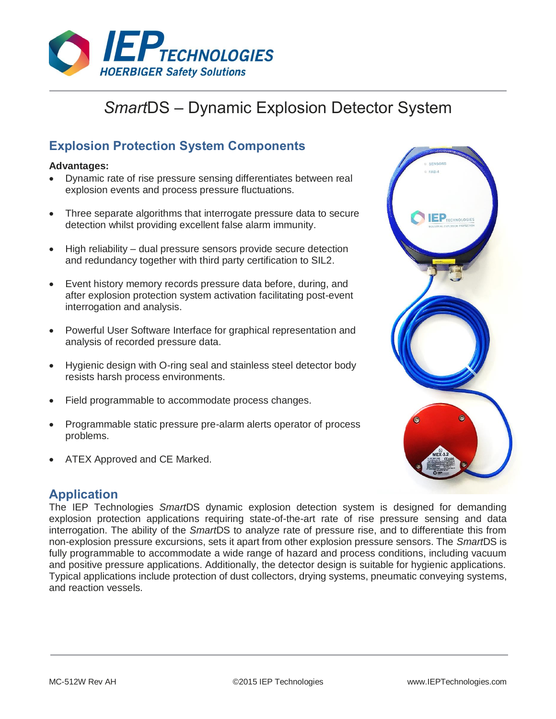

# *Smart*DS – Dynamic Explosion Detector System

# **Explosion Protection System Components**

### **Advantages:**

- Dynamic rate of rise pressure sensing differentiates between real explosion events and process pressure fluctuations.
- Three separate algorithms that interrogate pressure data to secure detection whilst providing excellent false alarm immunity.
- High reliability dual pressure sensors provide secure detection and redundancy together with third party certification to SIL2.
- Event history memory records pressure data before, during, and after explosion protection system activation facilitating post-event interrogation and analysis.
- Powerful User Software Interface for graphical representation and analysis of recorded pressure data.
- Hygienic design with O-ring seal and stainless steel detector body resists harsh process environments.
- Field programmable to accommodate process changes.
- Programmable static pressure pre-alarm alerts operator of process problems.
- ATEX Approved and CE Marked.

# $\mathsf{E}\mathsf{P}_{\mathsf{TECHNOLOGIES}}$

# **Application**

The IEP Technologies *Smart*DS dynamic explosion detection system is designed for demanding explosion protection applications requiring state-of-the-art rate of rise pressure sensing and data interrogation. The ability of the *Smart*DS to analyze rate of pressure rise, and to differentiate this from non-explosion pressure excursions, sets it apart from other explosion pressure sensors. The *Smart*DS is fully programmable to accommodate a wide range of hazard and process conditions, including vacuum and positive pressure applications. Additionally, the detector design is suitable for hygienic applications. Typical applications include protection of dust collectors, drying systems, pneumatic conveying systems, and reaction vessels.